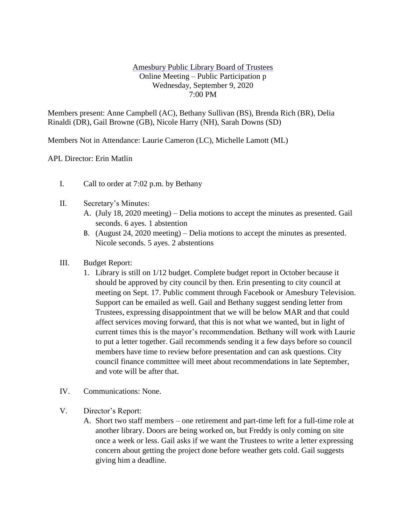## Amesbury Public Library Board of Trustees Online Meeting – Public Participation p Wednesday, September 9, 2020 7:00 PM

Members present: Anne Campbell (AC), Bethany Sullivan (BS), Brenda Rich (BR), Delia Rinaldi (DR), Gail Browne (GB), Nicole Harry (NH), Sarah Downs (SD)

Members Not in Attendance: Laurie Cameron (LC), Michelle Lamott (ML)

APL Director: Erin Matlin

- I. Call to order at 7:02 p.m. by Bethany
- II. Secretary's Minutes:
	- A. (July 18, 2020 meeting) Delia motions to accept the minutes as presented. Gail seconds. 6 ayes. 1 abstention
	- B. (August 24, 2020 meeting) Delia motions to accept the minutes as presented. Nicole seconds. 5 ayes. 2 abstentions
- III. Budget Report:
	- 1. Library is still on 1/12 budget. Complete budget report in October because it should be approved by city council by then. Erin presenting to city council at meeting on Sept. 17. Public comment through Facebook or Amesbury Television. Support can be emailed as well. Gail and Bethany suggest sending letter from Trustees, expressing disappointment that we will be below MAR and that could affect services moving forward, that this is not what we wanted, but in light of current times this is the mayor's recommendation. Bethany will work with Laurie to put a letter together. Gail recommends sending it a few days before so council members have time to review before presentation and can ask questions. City council finance committee will meet about recommendations in late September, and vote will be after that.
- IV. Communications: None.
- V. Director's Report:
	- A. Short two staff members one retirement and part-time left for a full-time role at another library. Doors are being worked on, but Freddy is only coming on site once a week or less. Gail asks if we want the Trustees to write a letter expressing concern about getting the project done before weather gets cold. Gail suggests giving him a deadline.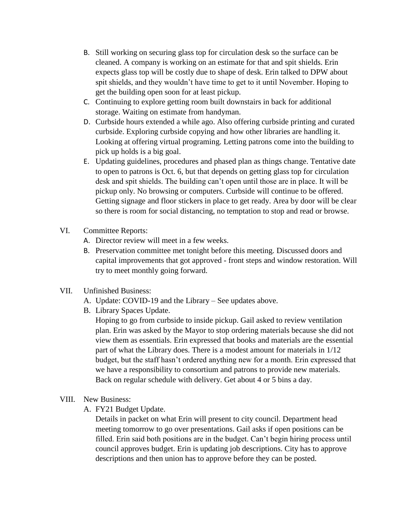- B. Still working on securing glass top for circulation desk so the surface can be cleaned. A company is working on an estimate for that and spit shields. Erin expects glass top will be costly due to shape of desk. Erin talked to DPW about spit shields, and they wouldn't have time to get to it until November. Hoping to get the building open soon for at least pickup.
- C. Continuing to explore getting room built downstairs in back for additional storage. Waiting on estimate from handyman.
- D. Curbside hours extended a while ago. Also offering curbside printing and curated curbside. Exploring curbside copying and how other libraries are handling it. Looking at offering virtual programing. Letting patrons come into the building to pick up holds is a big goal.
- E. Updating guidelines, procedures and phased plan as things change. Tentative date to open to patrons is Oct. 6, but that depends on getting glass top for circulation desk and spit shields. The building can't open until those are in place. It will be pickup only. No browsing or computers. Curbside will continue to be offered. Getting signage and floor stickers in place to get ready. Area by door will be clear so there is room for social distancing, no temptation to stop and read or browse.
- VI. Committee Reports:
	- A. Director review will meet in a few weeks.
	- B. Preservation committee met tonight before this meeting. Discussed doors and capital improvements that got approved - front steps and window restoration. Will try to meet monthly going forward.
- VII. Unfinished Business:
	- A. Update: COVID-19 and the Library See updates above.
	- B. Library Spaces Update.

Hoping to go from curbside to inside pickup. Gail asked to review ventilation plan. Erin was asked by the Mayor to stop ordering materials because she did not view them as essentials. Erin expressed that books and materials are the essential part of what the Library does. There is a modest amount for materials in 1/12 budget, but the staff hasn't ordered anything new for a month. Erin expressed that we have a responsibility to consortium and patrons to provide new materials. Back on regular schedule with delivery. Get about 4 or 5 bins a day.

- VIII. New Business:
	- A. FY21 Budget Update.

Details in packet on what Erin will present to city council. Department head meeting tomorrow to go over presentations. Gail asks if open positions can be filled. Erin said both positions are in the budget. Can't begin hiring process until council approves budget. Erin is updating job descriptions. City has to approve descriptions and then union has to approve before they can be posted.